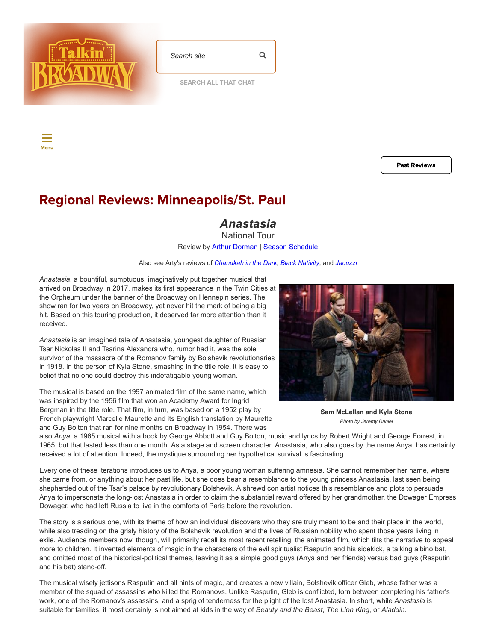

| Search site | Q |
|-------------|---|
|             |   |

[SEARCH](https://www.talkinbroadway.com/allthatchat_new/search.php) ALL THAT CHAT

Menu

Past [Reviews](https://www.talkinbroadway.com/minneapolis-st-paul)

## Regional Reviews: Minneapolis/St. Paul

*Anastasia*

National Tour Review by **Arthur Dorman | [Season Schedule](https://www.talkinbroadway.com/page/regional/minn/sched.html)** 

Also see Arty's reviews of *[Chanukah in the Dark](https://www.talkinbroadway.com/page/regional/minn/minn1002.html)*, *[Black Nativity](https://www.talkinbroadway.com/page/regional/minn/minn1001.html)*, and *[Jacuzzi](https://www.talkinbroadway.com/page/regional/minn/minn1000.html)*

*Anastasia*, a bountiful, sumptuous, imaginatively put together musical that arrived on Broadway in 2017, makes its first appearance in the Twin Cities at the Orpheum under the banner of the Broadway on Hennepin series. The show ran for two years on Broadway, yet never hit the mark of being a big hit. Based on this touring production, it deserved far more attention than it received.

*Anastasia* is an imagined tale of Anastasia, youngest daughter of Russian Tsar Nickolas II and Tsarina Alexandra who, rumor had it, was the sole survivor of the massacre of the Romanov family by Bolshevik revolutionaries in 1918. In the person of Kyla Stone, smashing in the title role, it is easy to belief that no one could destroy this indefatigable young woman.

The musical is based on the 1997 animated film of the same name, which was inspired by the 1956 film that won an Academy Award for Ingrid Bergman in the title role. That film, in turn, was based on a 1952 play by French playwright Marcelle Maurette and its English translation by Maurette and Guy Bolton that ran for nine months on Broadway in 1954. There was



**Sam McLellan and Kyla Stone** *Photo by Jeremy Daniel*

also *Anya*, a 1965 musical with a book by George Abbott and Guy Bolton, music and lyrics by Robert Wright and George Forrest, in 1965, but that lasted less than one month. As a stage and screen character, Anastasia, who also goes by the name Anya, has certainly received a lot of attention. Indeed, the mystique surrounding her hypothetical survival is fascinating.

Every one of these iterations introduces us to Anya, a poor young woman suffering amnesia. She cannot remember her name, where she came from, or anything about her past life, but she does bear a resemblance to the young princess Anastasia, last seen being shepherded out of the Tsar's palace by revolutionary Bolshevik. A shrewd con artist notices this resemblance and plots to persuade Anya to impersonate the long-lost Anastasia in order to claim the substantial reward offered by her grandmother, the Dowager Empress Dowager, who had left Russia to live in the comforts of Paris before the revolution.

The story is a serious one, with its theme of how an individual discovers who they are truly meant to be and their place in the world, while also treading on the grisly history of the Bolshevik revolution and the lives of Russian nobility who spent those years living in exile. Audience members now, though, will primarily recall its most recent retelling, the animated film, which tilts the narrative to appeal more to children. It invented elements of magic in the characters of the evil spiritualist Rasputin and his sidekick, a talking albino bat, and omitted most of the historical-political themes, leaving it as a simple good guys (Anya and her friends) versus bad guys (Rasputin and his bat) stand-off.

The musical wisely jettisons Rasputin and all hints of magic, and creates a new villain, Bolshevik officer Gleb, whose father was a member of the squad of assassins who killed the Romanovs. Unlike Rasputin, Gleb is conflicted, torn between completing his father's work, one of the Romanov's assassins, and a sprig of tenderness for the plight of the lost Anastasia. In short, while *Anastasia* is suitable for families, it most certainly is not aimed at kids in the way of *Beauty and the Beast*, *The Lion King*, or *Aladdin*.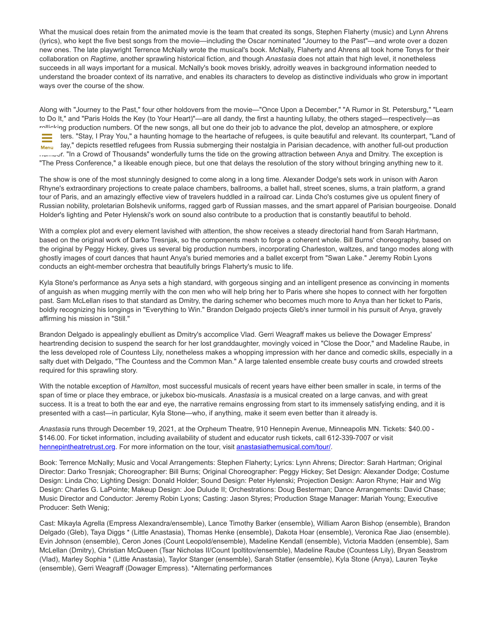What the musical does retain from the animated movie is the team that created its songs, Stephen Flaherty (music) and Lynn Ahrens (lyrics), who kept the five best songs from the movie—including the Oscar nominated "Journey to the Past"—and wrote over a dozen new ones. The late playwright Terrence McNally wrote the musical's book. McNally, Flaherty and Ahrens all took home Tonys for their collaboration on *Ragtime*, another sprawling historical fiction, and though *Anastasia* does not attain that high level, it nonetheless succeeds in all ways important for a musical. McNally's book moves briskly, adroitly weaves in background information needed to understand the broader context of its narrative, and enables its characters to develop as distinctive individuals who grow in important ways over the course of the show.

Along with "Journey to the Past," four other holdovers from the movie—"Once Upon a December," "A Rumor in St. Petersburg," "Learn to Do It," and "Paris Holds the Key (to Your Heart)"—are all dandy, the first a haunting lullaby, the others staged—respectively—as rollicking production numbers. Of the new songs, all but one do their job to advance the plot, develop an atmosphere, or explore characters. "Stay, I Pray You," a haunting homage to the heartache of refugees, is quite beautiful and relevant. Its counterpart, "Land of Menu Jay," depicts resettled refugees from Russia submerging their nostalgia in Parisian decadence, with another full-out production number. "In a Crowd of Thousands" wonderfully turns the tide on the growing attraction between Anya and Dmitry. The exception is "The Press Conference," a likeable enough piece, but one that delays the resolution of the story without bringing anything new to it.

The show is one of the most stunningly designed to come along in a long time. Alexander Dodge's sets work in unison with Aaron Rhyne's extraordinary projections to create palace chambers, ballrooms, a ballet hall, street scenes, slums, a train platform, a grand tour of Paris, and an amazingly effective view of travelers huddled in a railroad car. Linda Cho's costumes give us opulent finery of Russian nobility, proletarian Bolshevik uniforms, ragged garb of Russian masses, and the smart apparel of Parisian bourgeoise. Donald Holder's lighting and Peter Hylenski's work on sound also contribute to a production that is constantly beautiful to behold.

With a complex plot and every element lavished with attention, the show receives a steady directorial hand from Sarah Hartmann, based on the original work of Darko Tresnjak, so the components mesh to forge a coherent whole. Bill Burns' choreography, based on the original by Peggy Hickey, gives us several big production numbers, incorporating Charleston, waltzes, and tango modes along with ghostly images of court dances that haunt Anya's buried memories and a ballet excerpt from "Swan Lake." Jeremy Robin Lyons conducts an eight-member orchestra that beautifully brings Flaherty's music to life.

Kyla Stone's performance as Anya sets a high standard, with gorgeous singing and an intelligent presence as convincing in moments of anguish as when mugging merrily with the con men who will help bring her to Paris where she hopes to connect with her forgotten past. Sam McLellan rises to that standard as Dmitry, the daring schemer who becomes much more to Anya than her ticket to Paris, boldly recognizing his longings in "Everything to Win." Brandon Delgado projects Gleb's inner turmoil in his pursuit of Anya, gravely affirming his mission in "Still."

Brandon Delgado is appealingly ebullient as Dmitry's accomplice Vlad. Gerri Weagraff makes us believe the Dowager Empress' heartrending decision to suspend the search for her lost granddaughter, movingly voiced in "Close the Door," and Madeline Raube, in the less developed role of Countess Lily, nonetheless makes a whopping impression with her dance and comedic skills, especially in a salty duet with Delgado, "The Countess and the Common Man." A large talented ensemble create busy courts and crowded streets required for this sprawling story.

With the notable exception of *Hamilton*, most successful musicals of recent years have either been smaller in scale, in terms of the span of time or place they embrace, or jukebox bio-musicals. *Anastasia* is a musical created on a large canvas, and with great success. It is a treat to both the ear and eye, the narrative remains engrossing from start to its immensely satisfying ending, and it is presented with a cast—in particular, Kyla Stone—who, if anything, make it seem even better than it already is.

*Anastasia* runs through December 19, 2021, at the Orpheum Theatre, 910 Hennepin Avenue, Minneapolis MN. Tickets: \$40.00 - \$146.00. For ticket information, including availability of student and educator rush tickets, call 612-339-7007 or visit [hennepintheatretrust.org.](http://hennepintheatretrust.org/) For more information on the tour, visit [anastasiathemusical.com/tour/.](https://anastasiathemusical.com/tour/)

Book: Terrence McNally; Music and Vocal Arrangements: Stephen Flaherty; Lyrics: Lynn Ahrens; Director: Sarah Hartman; Original Director: Darko Tresnjak; Choreographer: Bill Burns; Original Choreographer: Peggy Hickey; Set Design: Alexander Dodge; Costume Design: Linda Cho; Lighting Design: Donald Holder; Sound Design: Peter Hylenski; Projection Design: Aaron Rhyne; Hair and Wig Design: Charles G. LaPointe; Makeup Design: Joe Dulude II; Orchestrations: Doug Besterman; Dance Arrangements: David Chase; Music Director and Conductor: Jeremy Robin Lyons; Casting: Jason Styres; Production Stage Manager: Mariah Young; Executive Producer: Seth Wenig;

Cast: Mikayla Agrella (Empress Alexandra/ensemble), Lance Timothy Barker (ensemble), William Aaron Bishop (ensemble), Brandon Delgado (Gleb), Taya Diggs \* (Little Anastasia), Thomas Henke (ensemble), Dakota Hoar (ensemble), Veronica Rae Jiao (ensemble). Evin Johnson (ensemble), Ceron Jones (Count Leopold/ensemble), Madeline Kendall (ensemble), Victoria Madden (ensemble), Sam McLellan (Dmitry), Christian McQueen (Tsar Nicholas II/Count Ipoltitov/ensemble), Madeline Raube (Countess Lily), Bryan Seastrom (Vlad), Marley Sophia \* (Little Anastasia), Taylor Stanger (ensemble), Sarah Statler (ensemble), Kyla Stone (Anya), Lauren Teyke (ensemble), Gerri Weagraff (Dowager Empress). \*Alternating performances